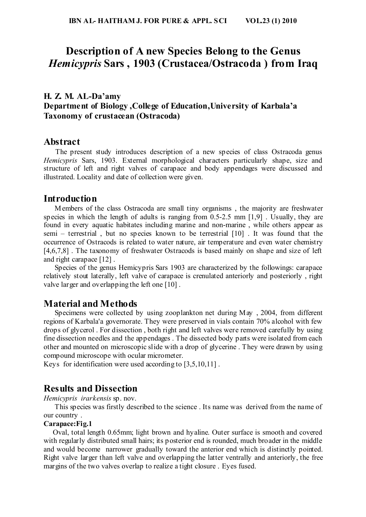## **Description of A new Species Belong to the Genus**  *Hemicypris* **Sars , 1903 (Crustacea/Ostracoda ) from Iraq**

## **H. Z. M. AL-Da'amy Department of Biology ,College of Education,University of Karbala'a Taxonomy of crustacean (Ostracoda)**

## **Abstract**

 The present study introduces description of a new species of class Ostracoda genus *Hemicypris* Sars, 1903. External morphological characters particularly shape, size and structure of left and right valves of carapace and body appendages were discussed and illustrated. Locality and date of collection were given.

## **Introduction**

 Members of the class Ostracoda are small tiny organisms , the majority are freshwater species in which the length of adults is ranging from  $0.5$ -2.5 mm  $[1.9]$ . Usually, they are found in every aquatic habitates including marine and non-marine , while others appear as semi – terrestrial , but no species known to be terrestrial [10] . It was found that the occurrence of Ostracods is related to water nature, air temperature and even water chemistry [4,6,7,8]. The taxonomy of freshwater Ostracods is based mainly on shape and size of left and right carapace [12] .

 Species of the genus Hemicypris Sars 1903 are characterized by the followings: carapace relatively stout laterally, left valve of carapace is crenulated anteriorly and posteriorly , right valve larger and overlapping the left one [10] .

## **Material and Methods**

 Specimens were collected by using zooplankton net during May , 2004, from different regions of Karbala'a governorate. They were preserved in vials contain 70% alcohol with few drops of glycerol . For dissection , both right and left valves were removed carefully by using fine dissection needles and the appendages . The dissected body parts were isolated from each other and mounted on microscopic slide with a drop of glycerine . They were drawn by using compound microscope with ocular micrometer.

Keys for identification were used according to [3,5,10,11] .

## **Results and Dissection**

*Hemicypris irarkensis* sp. nov.

 This species was firstly described to the science . Its name was derived from the name of our country .

### **Carapace:Fig.1**

 Oval, total length 0.65mm; light brown and hyaline. Outer surface is smooth and covered with regularly distributed small hairs; its posterior end is rounded, much broader in the middle and would become narrower gradually toward the anterior end which is distinctly pointed. Right valve larger than left valve and overlapping the latter ventrally and anteriorly, the free margins of the two valves overlap to realize a tight closure . Eyes fused.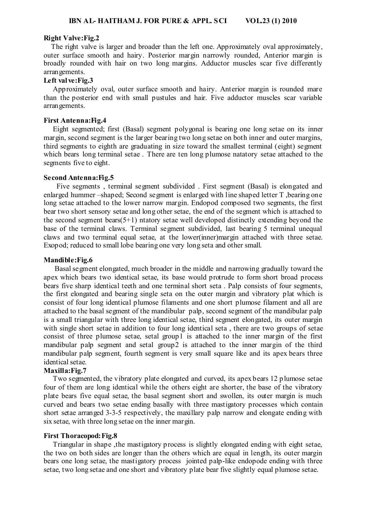#### **Right Valve:Fig.2**

 The right valve is larger and broader than the left one. Approximately oval approximately, outer surface smooth and hairy. Posterior margin narrowly rounded, Anterior margin is broadly rounded with hair on two long margins. Adductor muscles scar five differently arrangements.

#### **Left val ve:Fig.3**

 Approximately oval, outer surface smooth and hairy. Anterior margin is rounded mare than the posterior end with small pustules and hair. Five adductor muscles scar variable arrangements.

#### **First Antenna:Fig.4**

 Eight segmented; first (Basal) segment polygonal is bearing one long setae on its inner margin, second segment is the larger bearing two long setae on both inner and outer margins, third segments to eighth are graduating in size toward the smallest terminal (eight) segment which bears long terminal setae . There are ten long plumose natatory setae attached to the segments five to eight.

#### **Second Antenna:Fig.5**

 Five segments , terminal segment subdivided . First segment (Basal) is elongated and enlarged hummer –shaped; Second segment is enlarged with line shaped letter T ,bearing one long setae attached to the lower narrow margin. Endopod composed two segments, the first bear two short sensory setae and long other setae, the end of the segment which is attached to the second segment bears( $5+1$ ) ntatory setae well developed distinctly extending beyond the base of the terminal claws. Terminal segment subdivided, last bearing 5 terminal unequal claws and two terminal equal setae, at the lower(inner)margin attached with three setae. Exopod; reduced to small lobe bearing one very long seta and other small.

#### **Mandible:Fig.6**

 Basal segment elongated, much broader in the middle and narrowing gradually toward the apex which bears two identical setae, its base would protrude to form short broad process bears five sharp identical teeth and one terminal short seta . Palp consists of four segments, the first elongated and bearing single seta on the outer margin and vibratory plat which is consist of four long identical plumose filaments and one short plumose filament and all are attached to the basal segment of the mandibular palp, second segment of the mandibular palp is a small triangular with three long identical setae, third segment elongated, its outer margin with single short setae in addition to four long identical seta , there are two groups of setae consist of three plumose setae, setal group1 is attached to the inner margin of the first mandibular palp segment and setal group2 is attached to the inner margin of the third mandibular palp segment, fourth segment is very small square like and its apex bears three identical setae.

#### **Maxilla:Fig.7**

 Two segmented, the vibratory plate elongated and curved, its apex bears 12 plumose setae four of them are long identical while the others eight are shorter, the base of the vibratory plate bears five equal setae, the basal segment short and swollen, its outer margin is much curved and bears two setae ending basally with three mastigatory processes which contain short setae arranged 3-3-5 respectively, the maxillary palp narrow and elongate ending with six setae, with three long setae on the inner margin.

#### **First Thoracopod:Fig.8**

 Triangular in shape ,the mastigatory process is slightly elongated ending with eight setae, the two on both sides are longer than the others which are equal in length, its outer margin bears one long setae, the mastigatory process jointed palp-like endopode ending with three setae, two long setae and one short and vibratory plate bear five slightly equal plumose setae.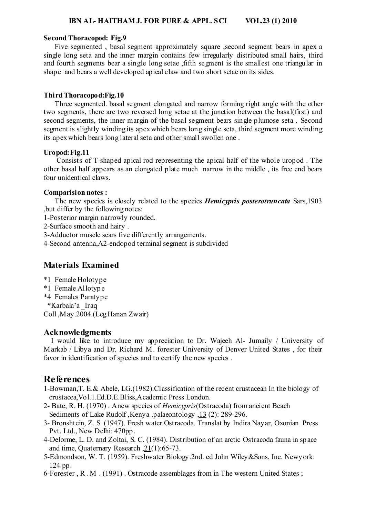#### **IBN AL- HAITHAM J. FOR PURE & APPL. SCI VOL.23 (1) 2010**

#### **Second Thoracopod: Fig.9**

 Five segmented , basal segment approximately square ,second segment bears in apex a single long seta and the inner margin contains few irregularly distributed small hairs, third and fourth segments bear a single long setae ,fifth segment is the smallest one triangular in shape and bears a well developed apical claw and two short setae on its sides.

#### **Third Thoracopod:Fig.10**

 Three segmented. basal segment elongated and narrow forming right angle with the other two segments, there are two reversed long setae at the junction between the basal(first) and second segments, the inner margin of the basal segment bears single plumose seta . Second segment is slightly winding its apex which bears long single seta, third segment more winding its apex which bears long lateral seta and other small swollen one .

#### **Uropod:Fig.11**

 Consists of T-shaped apical rod representing the apical half of the whole uropod . The other basal half appears as an elongated plate much narrow in the middle , its free end bears four unidentical claws.

#### **Comparision notes :**

 The new species is closely related to the species *Hemicypris posterotruncata* Sars,1903 ,but differ by the following notes:

- 1-Posterior margin narrowly rounded.
- 2-Surface smooth and hairy .
- 3-Adductor muscle scars five differently arrangements.
- 4-Second antenna,A2-endopod terminal segment is subdivided

## **Materials Examined**

- \*1 Female Holotype
- \*1 Female Allotype
- \*4 Females Paratype
- \*Karbala'a \_Iraq

Coll ,May.2004.(Leg.Hanan Zwair)

#### **Acknowledgments**

 I would like to introduce my appreciation to Dr. Wajeeh Al- Jumaily / University of Markab / Libya and Dr. Richard M. forester University of Denver United States , for their favor in identification of species and to certify the new species .

## **References**

- 1-Bowman,T. E.& Abele, LG.(1982).Classification of the recent crustacean In the biology of crustacea,Vol.1.Ed.D.E.Bliss,Academic Press London.
- 2- Bate, R. H. (1970) . Anew species of *Hemicypris*(Ostracoda) from ancient Beach Sediments of Lake Rudolf ,Kenya .palaeontology ,13 (2): 289-296.
- 3- Bronshtein, Z. S. (1947). Fresh water Ostracoda. Translat by Indira Nayar, Oxonian Press Pvt. Ltd., New Delhi: 470pp.
- 4-Delorme, L. D. and Zoltai, S. C. (1984). Distribution of an arctic Ostracoda fauna in space and time, Quaternary Research ,21(1):65-73.
- 5-Edmondson, W. T. (1959). Freshwater Biology.2nd. ed John Wiley&Sons, Inc. Newyork: 124 pp.
- 6-Forester , R . M . (1991) . Ostracode assemblages from in The western United States ;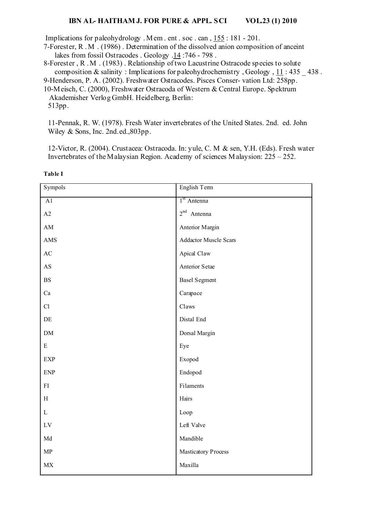#### **IBN AL- HAITHAM J. FOR PURE & APPL. SCI VOL.23 (1) 2010**

Implications for paleohydrology . Mem . ent . soc . can , 155 : 181 - 201.

7-Forester, R . M . (1986) . Determination of the dissolved anion composition of anceint lakes from fossil Ostracodes . Geology .14 :746 - 798 .

8-Forester , R . M . (1983) . Relationship of two Lacustrine Ostracode species to solute composition  $\&$  salinity : Implications for paleohydrochemistry, Geology, 11:435 438.

9-Henderson, P. A. (2002). Freshwater Ostracodes. Pisces Conser- vation Ltd: 258pp.

10-Meisch, C. (2000), Freshwater Ostracoda of Western & Central Europe. Spektrum Akademisher Verlog GmbH. Heidelberg, Berlin:

513pp.

11-Pennak, R. W. (1978). Fresh Water invertebrates of the United States. 2nd. ed. John Wiley & Sons, Inc. 2nd.ed.,803pp.

12-Victor, R. (2004). Crustacea: Ostracoda. In: yule, C. M & sen, Y.H. (Eds). Fresh water Invertebrates of the Malaysian Region. Academy of sciences M alaysion: 225 – 252.

| Sympols                         | English Tem                  |
|---------------------------------|------------------------------|
| $\overline{A1}$                 | 1 <sup>st</sup> Antenna      |
| A2                              | $2^{nd}$ Antenna             |
| AM                              | Anterior Margin              |
| AMS                             | <b>Addactor Muscle Scars</b> |
| AC                              | Apical Claw                  |
| $\mathbf{A}\mathbf{S}$          | Anterior Setae               |
| $\mathbf{B}\mathbf{S}$          | <b>Basel Segment</b>         |
| Ca                              | Carapace                     |
| Cl                              | Claws                        |
| $\rm{DE}$                       | Distal End                   |
| $DM$                            | Dorsal Margin                |
| ${\bf E}$                       | Eye                          |
| EXP                             | Exopod                       |
| <b>ENP</b>                      | Endopod                      |
| ${\rm FI}$                      | Filaments                    |
| $\, {\rm H}$                    | Hairs                        |
| $\mathbf L$                     | Loop                         |
| $\mathop{\rm LV}$               | Left Valve                   |
| $\operatorname{\mathsf{Md}}$    | Mandible                     |
| ${\sf MP}$                      | Masticatory Process          |
| $\ensuremath{\text{MX}}\xspace$ | Maxilla                      |

**Table I**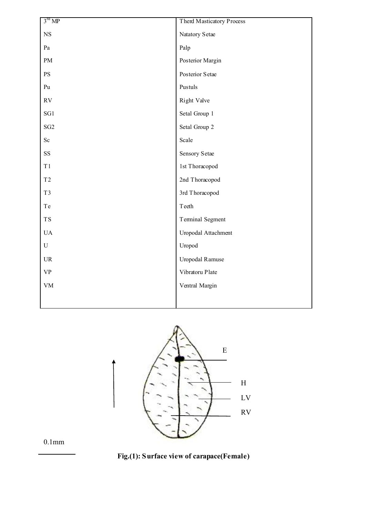| Natatory Setae      |
|---------------------|
|                     |
|                     |
| Posterior Margin    |
| Posterior Setae     |
| Pustuls             |
| Right Valve         |
| Setal Group 1       |
| Setal Group 2       |
|                     |
| Sensory Setae       |
| 1st Thoracopod      |
| 2nd Thoracopod      |
| 3rd Thoracopod      |
|                     |
| Terminal Segment    |
| Uropodal Attachment |
| Uropod              |
| Uropodal Ramuse     |
| Vibratoru Plate     |
| Ventral Margin      |
|                     |
|                     |



0.1mm

 **Fig.(1): Surface view of carapace(Female)**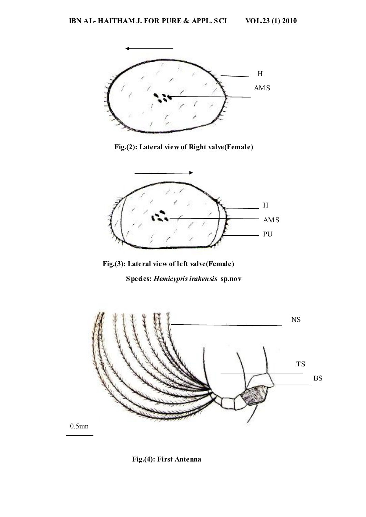

**Fig.(2): Lateral view of Right valve(Female)** 



 **Fig.(3): Lateral view of left valve(Female)** 

**Species:** *Hemicypris irakensis* **sp.nov**



 **Fig.(4): First Antenna**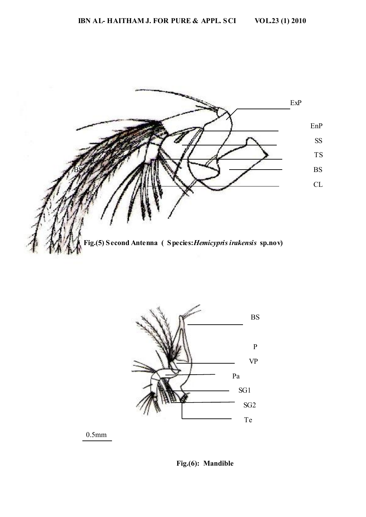



0.5mm

 **Fig.(6): Mandible**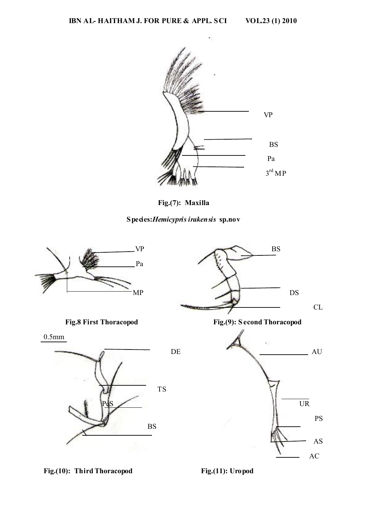

**Fig.(7): Maxilla** 





Fig.(10): Third Thoracopod Fig.(11): Uropod

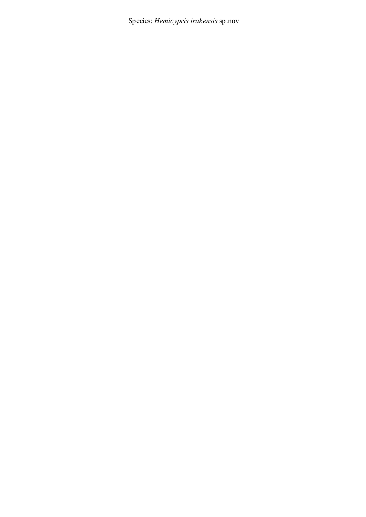Species: *Hemicypris irakensis* sp.nov